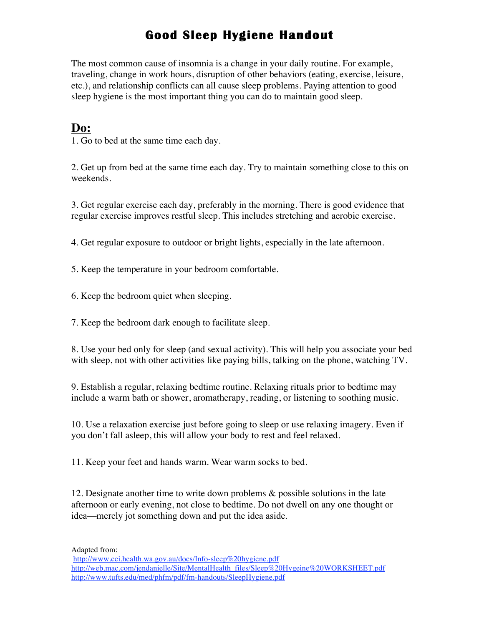## **Good Sleep Hygiene Handout**

The most common cause of insomnia is a change in your daily routine. For example, traveling, change in work hours, disruption of other behaviors (eating, exercise, leisure, etc.), and relationship conflicts can all cause sleep problems. Paying attention to good sleep hygiene is the most important thing you can do to maintain good sleep.

## **Do:**

1. Go to bed at the same time each day.

2. Get up from bed at the same time each day. Try to maintain something close to this on weekends.

3. Get regular exercise each day, preferably in the morning. There is good evidence that regular exercise improves restful sleep. This includes stretching and aerobic exercise.

4. Get regular exposure to outdoor or bright lights, especially in the late afternoon.

5. Keep the temperature in your bedroom comfortable.

6. Keep the bedroom quiet when sleeping.

7. Keep the bedroom dark enough to facilitate sleep.

8. Use your bed only for sleep (and sexual activity). This will help you associate your bed with sleep, not with other activities like paying bills, talking on the phone, watching TV.

9. Establish a regular, relaxing bedtime routine. Relaxing rituals prior to bedtime may include a warm bath or shower, aromatherapy, reading, or listening to soothing music.

10. Use a relaxation exercise just before going to sleep or use relaxing imagery. Even if you don't fall asleep, this will allow your body to rest and feel relaxed.

11. Keep your feet and hands warm. Wear warm socks to bed.

12. Designate another time to write down problems & possible solutions in the late afternoon or early evening, not close to bedtime. Do not dwell on any one thought or idea—merely jot something down and put the idea aside.

Adapted from:

http://www.cci.health.wa.gov.au/docs/Info-sleep%20hygiene.pdf http://web.mac.com/jendanielle/Site/MentalHealth\_files/Sleep%20Hygeine%20WORKSHEET.pdf http://www.tufts.edu/med/phfm/pdf/fm-handouts/SleepHygiene.pdf